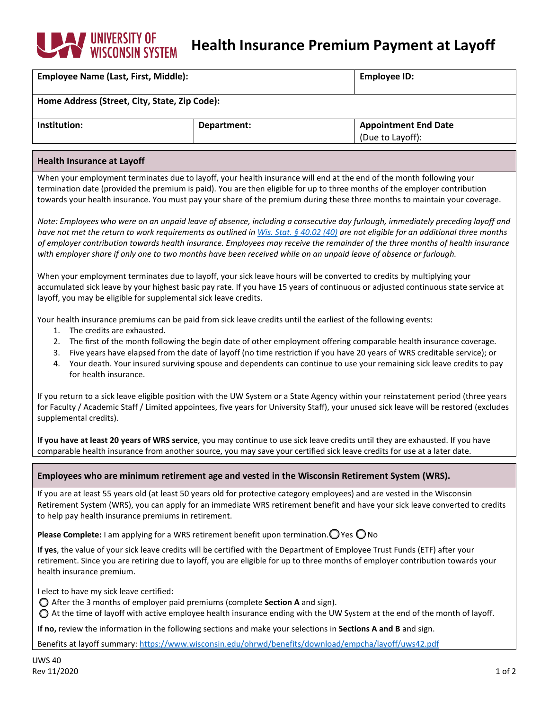# **WINDERSITY OF WISCONSIN Health Insurance Premium Payment at Layoff**

| <b>Employee Name (Last, First, Middle):</b>   |             | <b>Employee ID:</b>         |  |  |
|-----------------------------------------------|-------------|-----------------------------|--|--|
| Home Address (Street, City, State, Zip Code): |             |                             |  |  |
| Institution:                                  | Department: | <b>Appointment End Date</b> |  |  |
|                                               |             | (Due to Layoff):            |  |  |
|                                               |             |                             |  |  |

## **Health Insurance at Layoff**

When your employment terminates due to layoff, your health insurance will end at the end of the month following your termination date (provided the premium is paid). You are then eligible for up to three months of the employer contribution towards your health insurance. You must pay your share of the premium during these three months to maintain your coverage.

*Note: Employees who were on an unpaid leave of absence, including a consecutive day furlough, immediately preceding layoff and have not met the return to work requirements as outlined in [Wis. Stat. § 40.02 \(40\)](https://docs.legis.wisconsin.gov/statutes/statutes/40/i/02/40#:%7E:text=For%20a%20state%20elected%20official,the%20last%20completed%20month%20in) are not eligible for an additional three months of employer contribution towards health insurance. Employees may receive the remainder of the three months of health insurance with employer share if only one to two months have been received while on an unpaid leave of absence or furlough.*

When your employment terminates due to layoff, your sick leave hours will be converted to credits by multiplying your accumulated sick leave by your highest basic pay rate. If you have 15 years of continuous or adjusted continuous state service at layoff, you may be eligible for supplemental sick leave credits.

Your health insurance premiums can be paid from sick leave credits until the earliest of the following events:

- 1. The credits are exhausted.
- 2. The first of the month following the begin date of other employment offering comparable health insurance coverage.
- 3. Five years have elapsed from the date of layoff (no time restriction if you have 20 years of WRS creditable service); or
- 4. Your death. Your insured surviving spouse and dependents can continue to use your remaining sick leave credits to pay for health insurance.

If you return to a sick leave eligible position with the UW System or a State Agency within your reinstatement period (three years for Faculty / Academic Staff / Limited appointees, five years for University Staff), your unused sick leave will be restored (excludes supplemental credits).

**If you have at least 20 years of WRS service**, you may continue to use sick leave credits until they are exhausted. If you have comparable health insurance from another source, you may save your certified sick leave credits for use at a later date.

# **Employees who are minimum retirement age and vested in the Wisconsin Retirement System (WRS).**

If you are at least 55 years old (at least 50 years old for protective category employees) and are vested in the Wisconsin Retirement System (WRS), you can apply for an immediate WRS retirement benefit and have your sick leave converted to credits to help pay health insurance premiums in retirement.

**Please Complete:** I am applying for a WRS retirement benefit upon termination.  $\bigcirc$  Yes  $\bigcirc$  No

**If yes**, the value of your sick leave credits will be certified with the Department of Employee Trust Funds (ETF) after your retirement. Since you are retiring due to layoff, you are eligible for up to three months of employer contribution towards your health insurance premium.

I elect to have my sick leave certified:

After the 3 months of employer paid premiums (complete **Section A** and sign).

 $\bigcirc$  At the time of layoff with active employee health insurance ending with the UW System at the end of the month of layoff.

**If no,** review the information in the following sections and make your selections in **Sections A and B** and sign.

Benefits at layoff summary[: https://www.wisconsin.edu/ohrwd/benefits/download/empcha/layoff/uws42.pdf](https://www.wisconsin.edu/ohrwd/benefits/download/empcha/layoff/uws42.pdf)